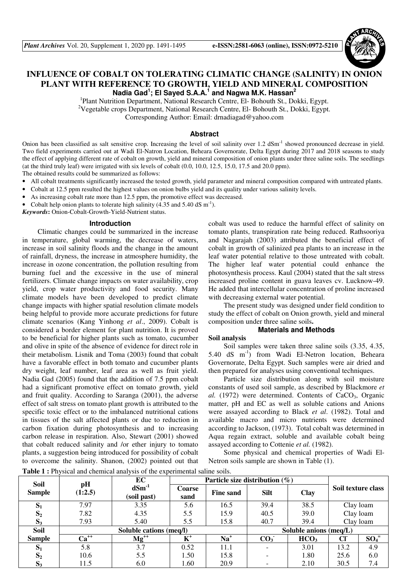# **INFLUENCE OF COBALT ON TOLERATING CLIMATIC CHANGE (SALINITY) IN ONION PLANT WITH REFERENCE TO GROWTH, YIELD AND MINERAL COMPOSITION Nadia Gad<sup>1</sup> ; El Sayed S.A.A.<sup>1</sup> and Nagwa M.K. Hassan<sup>2</sup>**

<sup>1</sup>Plant Nutrition Department, National Research Centre, El- Bohouth St., Dokki, Egypt. <sup>2</sup>Vegetable crops Department, National Research Centre, El- Bohouth St., Dokki, Egypt. Corresponding Author: Email: drnadiagad@yahoo.com

#### **Abstract**

Onion has been classified as salt sensitive crop. Increasing the level of soil salinity over 1.2 dSm<sup>-1</sup> showed pronounced decrease in yield. Two field experiments carried out at Wadi El-Natron Location, Beheara Governorate, Delta Egypt during 2017 and 2018 seasons to study the effect of applying different rate of cobalt on growth, yield and mineral composition of onion plants under three saline soils. The seedlings (at the third truly leaf) were irrigated with six levels of cobalt (0.0, 10.0, 12.5, 15.0, 17.5 and 20.0 ppm).

The obtained results could be summarized as follows:

• All cobalt treatments significantly increased the tested growth, yield parameter and mineral composition compared with untreated plants.

• Cobalt at 12.5 ppm resulted the highest values on onion bulbs yield and its quality under various salinity levels.

- As increasing cobalt rate more than 12.5 ppm, the promotive effect was decreased.
- Cobalt help onion plants to tolerate high salinity (4.35 and 5.40 dS  $\text{m}^{-1}$ ).

*Keywords***:** Onion-Cobalt-Growth-Yield-Nutrient status.

#### **Introduction**

Climatic changes could be summarized in the increase in temperature, global warming, the decrease of waters, increase in soil salinity floods and the change in the amount of rainfall, dryness, the increase in atmosphere humidity, the increase in ozone concentration, the pollution resulting from burning fuel and the excessive in the use of mineral fertilizers. Climate change impacts on water availability, crop yield, crop water productivity and food security. Many climate models have been developed to predict climate change impacts with higher spatial resolution climate models being helpful to provide more accurate predictions for future climate scenarios (Kang Yinhong *et al*., 2009). Cobalt is considered a border element for plant nutrition. It is proved to be beneficial for higher plants such as tomato, cucumber and olive in spite of the absence of evidence for direct role in their metabolism. Lisnik and Toma (2003) found that cobalt have a favorable effect in both tomato and cucumber plants dry weight, leaf number, leaf area as well as fruit yield. Nadia Gad (2005) found that the addition of 7.5 ppm cobalt had a significant promotive effect on tomato growth, yield and fruit quality. According to Saranga (2001), the adverse effect of salt stress on tomato plant growth is attributed to the specific toxic effect or to the imbalanced nutritional cations in tissues of the salt affected plants or due to reduction in carbon fixation during photosynthesis and to increasing carbon release in respiration. Also, Stewart (2001) showed that cobalt reduced salinity and /or ether injury to tomato plants, a suggestion being introduced for possibility of cobalt to overcome the salinity. Shanon, (2002) pointed out that

cobalt was used to reduce the harmful effect of salinity on tomato plants, transpiration rate being reduced. Rathsooriya and Nagarajah (2003) attributed the beneficial effect of cobalt in growth of salinized pea plants to an increase in the leaf water potential relative to those untreated with cobalt. The higher leaf water potential could enhance the photosynthesis process. Kaul (2004) stated that the salt stress increased proline content in guava leaves cv. Lucknow-49. He added that intercellular concentration of proline increased with decreasing external water potential.

The present study was designed under field condition to study the effect of cobalt on Onion growth, yield and mineral composition under three saline soils**.** 

#### **Materials and Methods**

#### **Soil analysis**

Soil samples were taken three saline soils (3.35, 4.35, 5.40 dS m-1) from Wadi El-Netron location, Beheara Governorate, Delta Egypt. Such samples were air dried and then prepared for analyses using conventional techniques.

Particle size distribution along with soil moisture constants of used soil sample, as described by Blackmore *et al.* (1972) were determined. Contents of CaCO<sub>3</sub>, Organic matter, pH and EC as well as soluble cations and Anions were assayed according to Black *et al*. (1982). Total and available macro and micro nutrients were determined according to Jackson, (1973). Total cobalt was determined in Aqua regain extract, soluble and available cobalt being assayed according to Cottenie *et al.* (1982).

Some physical and chemical properties of Wadi El-Netron soils sample are shown in Table (1).

**Table 1 :** Physical and chemical analysis of the experimental saline soils.

| <b>Soil</b>    | pH<br>(1:2.5) | EC                                                | Particle size distribution $(\%)$ |                  |                          |                  |           |                    |
|----------------|---------------|---------------------------------------------------|-----------------------------------|------------------|--------------------------|------------------|-----------|--------------------|
| <b>Sample</b>  |               | $dSm^{-1}$<br>(soil past)                         | Coarse<br>sand                    | <b>Fine sand</b> | <b>Silt</b>              | Clay             |           | Soil texture class |
| $S_1$          | 7.97          | 3.35                                              | 5.6                               | 16.5             | 39.4                     | 38.5             | Clay loam |                    |
| S <sub>2</sub> | 7.82          | 4.35                                              | 5.5                               | 15.9             | 40.5                     | 39.0             | Clay loam |                    |
| $S_3$          | 7.93          | 5.40                                              | 5.5                               | 15.8             | 40.7                     | 39.4             | Clay loam |                    |
| Soil           |               | Soluble cations (meq/l)<br>Soluble anions (meq/L) |                                   |                  |                          |                  |           |                    |
| <b>Sample</b>  | $Ca^{++}$     | $Mg^{++}$                                         | $K^+$                             | $Na+$            | CO <sub>3</sub>          | HCO <sub>3</sub> | CI        | $SO_4^-$           |
| $S_1$          | 5.8           | 3.7                                               | 0.52                              | 11.1             | $\overline{\phantom{0}}$ | 3.01             | 13.2      | 4.9                |
| S <sub>2</sub> | 10.6          | 5.5                                               | 1.50                              | 15.8             |                          | 1.80             | 25.6      | 6.0                |
| $S_3$          | 11.5          | 6.0                                               | 1.60                              | 20.9             | -                        | 2.10             | 30.5      | 7.4                |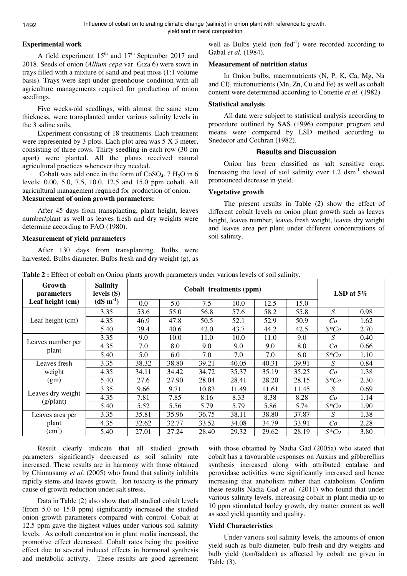## **Experimental work**

A field experiment  $15<sup>th</sup>$  and  $17<sup>th</sup>$  September 2017 and 2018. Seeds of onion (*Allium cepa* var. Giza 6) were sown in trays filled with a mixture of sand and peat moss (1:1 volume basis). Trays were kept under greenhouse condition with all agriculture managements required for production of onion seedlings.

Five weeks-old seedlings, with almost the same stem thickness, were transplanted under various salinity levels in the 3 saline soils,

Experiment consisting of 18 treatments. Each treatment were represented by 3 plots. Each plot area was 5 X 3 meter, consisting of three rows. Thirty seedling in each row (30 cm apart) were planted. All the plants received natural agricultural practices whenever they needed.

Cobalt was add once in the form of  $CoSO<sub>4</sub>$ . 7 H<sub>2</sub>O in 6 levels: 0.00, 5.0, 7.5, 10.0, 12.5 and 15.0 ppm cobalt. All agricultural management required for production of onion.

# **Measurement of onion growth parameters:**

After 45 days from transplanting, plant height, leaves number/plant as well as leaves fresh and dry weights were determine according to FAO (1980).

#### **Measurement of yield parameters**

After 130 days from transplanting, Bulbs were harvested. Bulbs diameter, Bulbs fresh and dry weight (g), as

well as Bulbs yield (ton  $fed^{-1}$ ) were recorded according to Gabal *et al.* (1984).

## **Measurement of nutrition status**

In Onion bulbs, macronutrients (N, P, K, Ca, Mg, Na and Cl), micronutrients (Mn, Zn, Cu and Fe) as well as cobalt content were determined according to Cottenie *et al.* (1982).

## **Statistical analysis**

All data were subject to statistical analysis according to procedure outlined by SAS (1996) computer program and means were compared by LSD method according to Snedecor and Cochran (1982).

## **Results and Discussion**

Onion has been classified as salt sensitive crop. Increasing the level of soil salinity over  $1.2 \text{ dsm}^{-1}$  showed pronounced decrease in yield.

## **Vegetative growth**

The present results in Table (2) show the effect of different cobalt levels on onion plant growth such as leaves height, leaves number, leaves fresh weight, leaves dry weight and leaves area per plant under different concentrations of soil salinity.

**Table 2 :** Effect of cobalt on Onion plants growth parameters under various levels of soil salinity.

| Growth<br><i>parameters</i> | <b>Salinity</b><br>levels $(S)$ |       | LSD at $5\%$ |       |       |       |       |         |      |
|-----------------------------|---------------------------------|-------|--------------|-------|-------|-------|-------|---------|------|
| Leaf height (cm)            | $(dS m-1)$                      | 0.0   | 5.0          | 7.5   | 10.0  | 12.5  | 15.0  |         |      |
|                             | 3.35                            | 53.6  | 55.0         | 56.8  | 57.6  | 58.2  | 55.8  | S       | 0.98 |
| Leaf height (cm)            | 4.35                            | 46.9  | 47.8         | 50.5  | 52.1  | 52.9  | 50.9  | Co      | 1.62 |
|                             | 5.40                            | 39.4  | 40.6         | 42.0  | 43.7  | 44.2  | 42.5  | $S^*Co$ | 2.70 |
|                             | 3.35                            | 9.0   | 10.0         | 11.0  | 10.0  | 11.0  | 9.0   | S       | 0.40 |
| Leaves number per           | 4.35                            | 7.0   | 8.0          | 9.0   | 9.0   | 9.0   | 8.0   | Co      | 0.66 |
| plant                       | 5.40                            | 5.0   | 6.0          | 7.0   | 7.0   | 7.0   | 6.0   | $S^*Co$ | 1.10 |
| Leaves fresh                | 3.35                            | 38.32 | 38.80        | 39.21 | 40.05 | 40.31 | 39.91 | S       | 0.84 |
| weight                      | 4.35                            | 34.11 | 34.42        | 34.72 | 35.37 | 35.19 | 35.25 | Co      | 1.38 |
| (gm)                        | 5.40                            | 27.6  | 27.90        | 28.04 | 28.41 | 28.20 | 28.15 | $S^*Co$ | 2.30 |
|                             | 3.35                            | 9.66  | 9.71         | 10.83 | 11.49 | 11.61 | 11.45 | S       | 0.69 |
| Leaves dry weight           | 4.35                            | 7.81  | 7.85         | 8.16  | 8.33  | 8.38  | 8.28  | Co      | 1.14 |
| $(g/\text{plant})$          | 5.40                            | 5.52  | 5.56         | 5.79  | 5.79  | 5.86  | 5.74  | $S^*Co$ | 1.90 |
| Leaves area per             | 3.35                            | 35.81 | 35.96        | 36.75 | 38.11 | 38.80 | 37.87 | S       | 1.38 |
| plant                       | 4.35                            | 32.62 | 32.77        | 33.52 | 34.08 | 34.79 | 33.91 | Co      | 2.28 |
| $\text{(cm}^2)$             | 5.40                            | 27.01 | 27.24        | 28.40 | 29.32 | 29.62 | 28.19 | $S^*Co$ | 3.80 |

Result clearly indicate that all studied growth parameters significantly decreased as soil salinity rate increased. These results are in harmony with those obtained by Chinnusamy *et al.* (2005) who found that salinity inhibits rapidly stems and leaves growth. Ion toxicity is the primary cause of growth reduction under salt stress.

Data in Table (2) also show that all studied cobalt levels (from 5.0 to 15.0 ppm) significantly increased the studied onion growth parameters compared with control. Cobalt at 12.5 ppm gave the highest values under various soil salinity levels. As cobalt concentration in plant media increased, the promotive effect decreased. Cobalt rates being the positive effect due to several induced effects in hormonal synthesis and metabolic activity. These results are good agreement with those obtained by Nadia Gad (2005a) who stated that cobalt has a favourable responses on Auxins and gibberellins synthesis increased along with attributed catalase and peroxidase activities were significantly increased and hence increasing that anabolism rather than catabolism. Confirm these results Nadia Gad *et al.* (2011) who found that under various salinity levels, increasing cobalt in plant media up to 10 ppm stimulated barley growth, dry matter content as well as seed yield quantity and quality.

#### **Yield Characteristics**

Under various soil salinity levels, the amounts of onion yield such as bulb diameter, bulb fresh and dry weights and bulb yield (ton/fadden) as affected by cobalt are given in Table (3).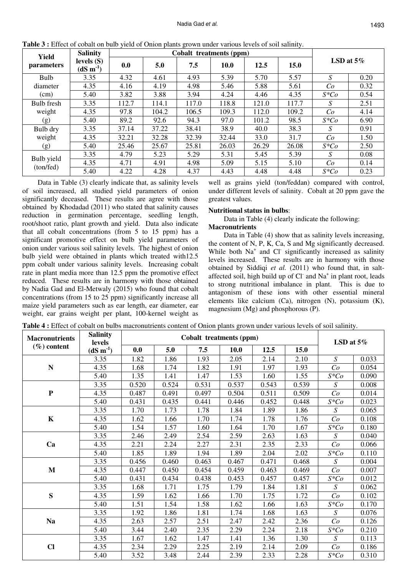| Yield                   | <b>Salinity</b>            |       | Cobalt treatments (ppm) |       |             |       |       |              |      |  |
|-------------------------|----------------------------|-------|-------------------------|-------|-------------|-------|-------|--------------|------|--|
| parameters              | levels $(S)$<br>$(dS m-1)$ | 0.0   | 5.0                     | 7.5   | <b>10.0</b> | 12.5  | 15.0  | LSD at $5\%$ |      |  |
| Bulb                    | 3.35                       | 4.32  | 4.61                    | 4.93  | 5.39        | 5.70  | 5.57  | S            | 0.20 |  |
| diameter                | 4.35                       | 4.16  | 4.19                    | 4.98  | 5.46        | 5.88  | 5.61  | Co           | 0.32 |  |
| (cm)                    | 5.40                       | 3.82  | 3.88                    | 3.94  | 4.24        | 4.46  | 4.35  | $S^*Co$      | 0.54 |  |
| Bulb fresh<br>weight    | 3.35                       | 112.7 | 114.1                   | 117.0 | 118.8       | 121.0 | 117.7 | S            | 2.51 |  |
|                         | 4.35                       | 97.8  | 104.2                   | 106.5 | 109.3       | 112.0 | 109.2 | Co           | 4.14 |  |
| (g)                     | 5.40                       | 89.2  | 92.6                    | 94.3  | 97.0        | 101.2 | 98.5  | $S^*Co$      | 6.90 |  |
| Bulb dry                | 3.35                       | 37.14 | 37.22                   | 38.41 | 38.9        | 40.0  | 38.3  | S            | 0.91 |  |
| weight<br>(g)           | 4.35                       | 32.21 | 32.28                   | 32.39 | 32.44       | 33.0  | 31.7  | Co           | 1.50 |  |
|                         | 5.40                       | 25.46 | 25.67                   | 25.81 | 26.03       | 26.29 | 26.08 | $S^*Co$      | 2.50 |  |
| Bulb yield<br>(ton/fed) | 3.35                       | 4.79  | 5.23                    | 5.29  | 5.31        | 5.45  | 5.39  | S            | 0.08 |  |
|                         | 4.35                       | 4.71  | 4.91                    | 4.98  | 5.09        | 5.15  | 5.10  | Co           | 0.14 |  |
|                         | 5.40                       | 4.22  | 4.28                    | 4.37  | 4.43        | 4.48  | 4.48  | $S^*Co$      | 0.23 |  |

**Table 3 :** Effect of cobalt on bulb yield of Onion plants grown under various levels of soil salinity.

Data in Table (3) clearly indicate that, as salinity levels of soil increased, all studied yield parameters of onion significantly deceased. These results are agree with those obtained by Khodadad (2011) who stated that salinity causes reduction in germination percentage, seedling length, root/shoot ratio, plant growth and yield. Data also indicate that all cobalt concentrations (from 5 to 15 ppm) has a significant promotive effect on bulb yield parameters of onion under various soil salinity levels. The highest of onion bulb yield were obtained in plants which treated with12.5 ppm cobalt under various salinity levels. Increasing cobalt rate in plant media more than 12.5 ppm the promotive effect reduced. These results are in harmony with those obtained by Nadia Gad and El-Metwaly (2015) who found that cobalt concentrations (from 15 to 25 ppm) significantly increase all maize yield parameters such as ear length, ear diameter, ear weight, ear grains weight per plant, 100-kernel weight as

well as grains yield (ton/feddan) compared with control, under different levels of salinity. Cobalt at 20 ppm gave the greatest values.

#### **Nutritional status in bulbs**:

Data in Table (4) clearly indicate the following:

#### **Macronutrients**

Data in Table (4) show that as salinity levels increasing, the content of N, P, K, Ca, S and Mg significantly decreased. While both Na<sup>+</sup> and Cl<sup>-</sup> significantly increased as salinity levels increased. These results are in harmony with those obtained by Siddiqi *et al.* (2011) who found that, in saltaffected soil, high build up of Cl and Na<sup>+</sup> in plant root, leads to strong nutritional imbalance in plant. This is due to antagonism of these ions with other essential mineral elements like calcium (Ca), nitrogen (N), potassium (K), magnesium (Mg) and phosphorous (P).

|  |  | <b>Table 4 :</b> Effect of cobalt on bulbs macronutrients content of Onion plants grown under various levels of soil salinity. |  |  |  |
|--|--|--------------------------------------------------------------------------------------------------------------------------------|--|--|--|
|  |  |                                                                                                                                |  |  |  |

| <b>Macronutrients</b> | <b>Salinity</b><br>levels |       | LSD at $5\%$ |       |       |       |       |                  |       |
|-----------------------|---------------------------|-------|--------------|-------|-------|-------|-------|------------------|-------|
| $(\% )$ content       | $(dS m-1)$                | 0.0   | 5.0          | 7.5   | 10.0  | 12.5  | 15.0  |                  |       |
|                       | 3.35                      | 1.82  | 1.86         | 1.93  | 2.05  | 2.14  | 2.10  | S                | 0.033 |
| $\mathbf N$           | 4.35                      | 1.68  | 1.74         | 1.82  | 1.91  | 1.97  | 1.93  | Co               | 0.054 |
|                       | 5.40                      | 1.35  | 1.41         | 1.47  | 1.53  | 1.60  | 1.55  | $S^*Co$          | 0.090 |
|                       | 3.35                      | 0.520 | 0.524        | 0.531 | 0.537 | 0.543 | 0.539 | S                | 0.008 |
| $\mathbf P$           | 4.35                      | 0.487 | 0.491        | 0.497 | 0.504 | 0.511 | 0.509 | Co               | 0.014 |
|                       | 5.40                      | 0.431 | 0.435        | 0.441 | 0.446 | 0.452 | 0.448 | $S \ast Co$      | 0.023 |
|                       | 3.35                      | 1.70  | 1.73         | 1.78  | 1.84  | 1.89  | 1.86  | $\boldsymbol{S}$ | 0.065 |
| $\mathbf K$           | 4.35                      | 1.62  | 1.66         | 1.70  | 1.74  | 1.78  | 1.76  | Co               | 0.108 |
|                       | 5.40                      | 1.54  | 1.57         | 1.60  | 1.64  | 1.70  | 1.67  | $S^*Co$          | 0.180 |
|                       | 3.35                      | 2.46  | 2.49         | 2.54  | 2.59  | 2.63  | 1.63  | S                | 0.040 |
| Ca                    | 4.35                      | 2.21  | 2.24         | 2.27  | 2.31  | 2.35  | 2.33  | Co               | 0.066 |
|                       | 5.40                      | 1.85  | 1.89         | 1.94  | 1.89  | 2.04  | 2.02  | $S \ast Co$      | 0.110 |
|                       | 3.35                      | 0.456 | 0.460        | 0.463 | 0.467 | 0.471 | 0.468 | S                | 0.004 |
| $\mathbf{M}$          | 4.35                      | 0.447 | 0.450        | 0.454 | 0.459 | 0.463 | 0.469 | Co               | 0.007 |
|                       | 5.40                      | 0.431 | 0.434        | 0.438 | 0.453 | 0.457 | 0.457 | $S \ast Co$      | 0.012 |
|                       | 3.35                      | 1.68  | 1.71         | 1.75  | 1.79  | 1.84  | 1.81  | S                | 0.062 |
| ${\bf S}$             | 4.35                      | 1.59  | 1.62         | 1.66  | 1.70  | 1.75  | 1.72  | Co               | 0.102 |
|                       | 5.40                      | 1.51  | 1.54         | 1.58  | 1.62  | 1.66  | 1.63  | $S^*Co$          | 0.170 |
|                       | 3.35                      | 1.92  | 1.86         | 1.81  | 1.74  | 1.68  | 1.63  | S                | 0.076 |
| <b>Na</b>             | 4.35                      | 2.63  | 2.57         | 2.51  | 2.47  | 2.42  | 2.36  | Co               | 0.126 |
|                       | 5.40                      | 3.44  | 2.40         | 2.35  | 2.29  | 2.24  | 2.18  | $S \ast Co$      | 0.210 |
|                       | 3.35                      | 1.67  | 1.62         | 1.47  | 1.41  | 1.36  | 1.30  | $\overline{S}$   | 0.113 |
| $\mathbf{C}$          | 4.35                      | 2.34  | 2.29         | 2.25  | 2.19  | 2.14  | 2.09  | Co               | 0.186 |
|                       | 5.40                      | 3.52  | 3.48         | 2.44  | 2.39  | 2.33  | 2.28  | $S \ast Co$      | 0.310 |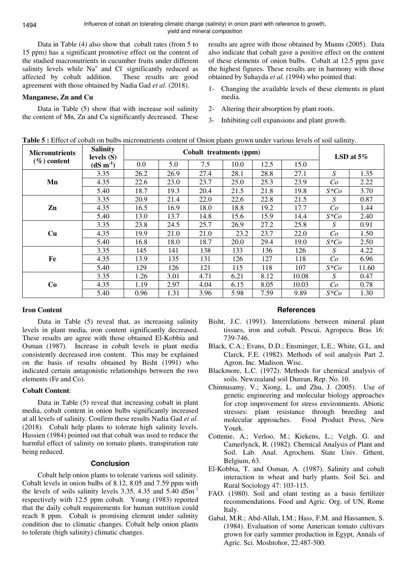Data in Table (4) also show that cobalt rates (from 5 to 15 ppm) has a significant promotive effect on the content of the studied macronutrients in cucumber fruits under different salinity levels while  $Na<sup>+</sup>$  and Cl<sup>-</sup> significantly reduced as affected by cobalt addition. These results are good agreement with those obtained by Nadia Gad *et al*. (2018).

## **Manganese, Zn and Cu**

Data in Table (5) show that with increase soil salinity the content of Mn, Zn and Cu significantly decreased. These results are agree with those obtained by Munns (2005). Data also indicate that cobalt gave a positive effect on the content of these elements of onion bulbs. Cobalt at 12.5 ppm gave the highest figures. These results are in harmony with those obtained by Suhayda *et al.* (1994) who pointed that:

- 1- Changing the available levels of these elements in plant media.
- 2- Altering their absorption by plant roots.
- 3- Inhibiting cell expansions and plant growth.

Micronutrients  $\begin{bmatrix} \text{S}_{1} & \text{S}_{2} \\ \text{S}_{2} & \text{S}_{3} \end{bmatrix}$  Cobalt treatments (ppm) **(%) content Salinity levels (S) (dS m-1)** 0.0 5.0 7.5 10.0 12.5 15.0 **LSD at 5%** 3.35 26.2 26.9 27.4 28.1 28.8 27.1 *S* 1.35 **Mn** 4.35 22.6 23.0 23.7 25.0 25.3 23.9 *Co* 2.22 5.40 18.7 19.3 20.4 21.5 21.8 19.8 *S\*Co* 3.70 3.35 20.9 21.4 22.0 22.6 22.8 21.5 *S* 0.87 **Zn** 4.35 16.5 16.9 18.0 18.8 19.2 17.7 *Co* 1.44 5.40 13.0 13.7 14.8 15.6 15.9 14.4 *S\*Co* 2.40 3.35 23.8 24.5 25.7 26.9 27.2 25.8 *S* 0.91 **Cu** 4.35 19.9 21.0 21.0 23.2 23.7 22.0 *Co* 1.50 5.40 16.8 18.0 18.7 20.0 29.4 19.0 *S\*Co* 2.50 3.35 145 141 138 133 136 126 *S* 4.22 **Fe** 4.35 13.9 135 131 126 127 118 *Co* 6.96 5.40 129 126 121 115 118 107 *S\*Co* 11.60 3.35 1.26 3.01 4.71 6.21 8.12 10.08 *S* 0.47 **Co** 4.35 1.19 2.97 4.04 6.15 8.05 10.03 *Co* 0.78

5.40 0.96 1.31 3.96 5.98 7.59 9.89 *S\*Co* 1.30

## **Table 5 :** Effect of cobalt on bulbs micronutrients content of Onion plants grown under various levels of soil salinity.

## **Iron Content**

Data in Table (5) reveal that, as increasing salinity levels in plant media, iron content significantly decreased. These results are agree with those obtained El-Kobbia and Osman (1987). Increase in cobalt levels in plant media consistently decreased iron content. This may be explained on the basis of results obtained by Bisht (1991) who indicated certain antagonistic relationships between the two elements (Fe and Co).

#### **Cobalt Content**:

Data in Table (5) reveal that increasing cobalt in plant media, cobalt content in onion bulbs significantly increased at all levels of salinity. Confirm these results Nadia Gad *et al.* (2018). Cobalt help plants to tolerate high salinity levels. Hussien (1984) pointed out that cobalt was used to reduce the harmful effect of salinity on tomato plants, transpiration rate being reduced.

#### **Conclusion**

Cobalt help onion plants to tolerate various soil salinity. Cobalt levels in onion bulbs of 8.12, 8.05 and 7.59 ppm with the levels of soils salinity levels 3.35, 4.35 and  $5.40 \text{ dSm}^{-1}$ respectively with 12.5 ppm cobalt. Young (1983) reported that the daily cobalt requirements for human nutrition could reach 8 ppm. Cobalt is promising element under salinity condition due to climatic changes. Cobalt help onion plants to tolerate (high salinity) climatic changes.

#### **References**

- Bisht, J.C. (1991). Interrelations between mineral plant tissues, iron and cobalt. Pescui, Agropecu. Bras 16: 739-746.
- Black, C.A.; Evans, D.D.; Ensminger, L.E.; White, G.L. and Clarck, F.E. (1982). Methods of soil analysis Part 2. Agron. Inc. Madison. Wisc.
- Blackmore, L.C. (1972). Methods for chemical analysis of soils. Newzealand soil Durean, Rep. No. 10.
- Chinnusamy, V.; Xiong, L. and Zhu, J. (2005). Use of genetic engineering and molecular biology approaches for crop improvement for stress environments. Abiotic stresses: plant resistance through breeding and molecular approaches. Food Product Press, New Yourk.
- Cottenie, A.; Verloo, M.; Kiekens, L.; Velgh, G. and Camerlynck, R. (1982). Chemical Analysis of Plant and Soil. Lab. Anal. Agrochem. State Univ. Gthent, Belgium, 63.
- El-Kobbia, T. and Osman, A. (1987). Salinity and cobalt interaction in wheat and barly plants. Soil Sci. and Rural Sociology 47: 103-115.
- FAO. (1980). Soil and olant testing as a basis fertilizer recommendations. Food and Agric. Org. of UN, Rome Italy.
- Gabal, M.R.; Abd-Allah, I.M.; Hass, F.M. and Hassannen, S. (1984). Evaluation of some American tomato cultivars grown for early summer production in Egypt, Annals of Agric. Sci. Moshtohor, 22:487-500.